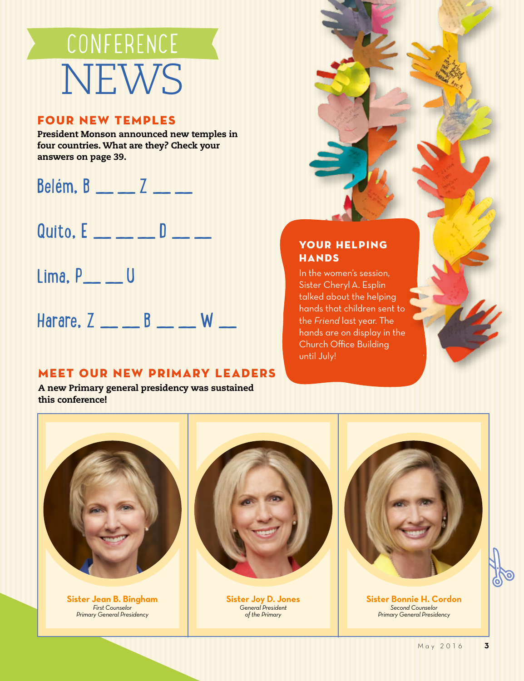# CONFERENCE NEWS

### FOUR NEW TEMPLES

President Monson announced new temples in four countries. What are they? Check your answers on page 39.

Belém**,** B \_\_ \_\_ Z \_\_ \_\_



- Lima**,** P\_\_ \_\_ U
- Harare**,** Z \_\_ \_\_ B \_\_ \_\_ W \_\_

### MEET OUR NEW PRIMARY LEADERS

A new Primary general presidency was sustained this conference!

### YOUR HELPING **HANDS**

In the women's session, Sister Cheryl A. Esplin talked about the helping hands that children sent to the *Friend* last year. The hands are on display in the Church Office Building until July!



**Sister Jean B. Bingham** *First Counselor Primary General Presidency*



**Sister Joy D. Jones** *General President of the Primary*



**Sister Bonnie H. Cordon** *Second Counselor Primary General Presidency*